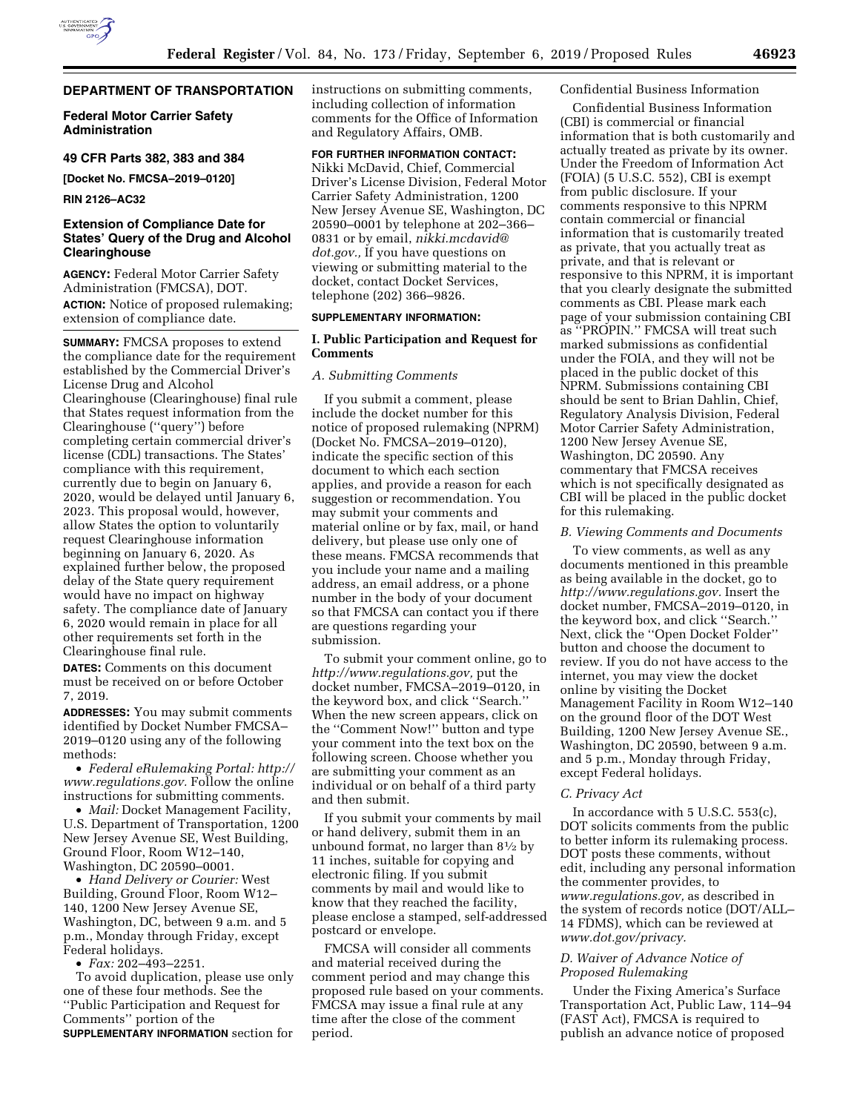# **DEPARTMENT OF TRANSPORTATION**

**Federal Motor Carrier Safety Administration** 

**49 CFR Parts 382, 383 and 384** 

**[Docket No. FMCSA–2019–0120]** 

**RIN 2126–AC32** 

## **Extension of Compliance Date for States' Query of the Drug and Alcohol Clearinghouse**

**AGENCY:** Federal Motor Carrier Safety Administration (FMCSA), DOT. **ACTION:** Notice of proposed rulemaking; extension of compliance date.

**SUMMARY:** FMCSA proposes to extend the compliance date for the requirement established by the Commercial Driver's License Drug and Alcohol Clearinghouse (Clearinghouse) final rule that States request information from the Clearinghouse (''query'') before completing certain commercial driver's license (CDL) transactions. The States' compliance with this requirement, currently due to begin on January 6, 2020, would be delayed until January 6, 2023. This proposal would, however, allow States the option to voluntarily request Clearinghouse information beginning on January 6, 2020. As explained further below, the proposed delay of the State query requirement would have no impact on highway safety. The compliance date of January 6, 2020 would remain in place for all other requirements set forth in the Clearinghouse final rule.

**DATES:** Comments on this document must be received on or before October 7, 2019.

**ADDRESSES:** You may submit comments identified by Docket Number FMCSA– 2019–0120 using any of the following methods:

• *Federal eRulemaking Portal: [http://](http://www.regulations.gov)  [www.regulations.gov.](http://www.regulations.gov)* Follow the online instructions for submitting comments.

• *Mail:* Docket Management Facility, U.S. Department of Transportation, 1200 New Jersey Avenue SE, West Building, Ground Floor, Room W12–140, Washington, DC 20590–0001.

• *Hand Delivery or Courier:* West Building, Ground Floor, Room W12– 140, 1200 New Jersey Avenue SE, Washington, DC, between 9 a.m. and 5 p.m., Monday through Friday, except Federal holidays.

• *Fax:* 202–493–2251.

To avoid duplication, please use only one of these four methods. See the ''Public Participation and Request for Comments'' portion of the **SUPPLEMENTARY INFORMATION** section for

instructions on submitting comments, including collection of information comments for the Office of Information and Regulatory Affairs, OMB.

# **FOR FURTHER INFORMATION CONTACT:**

Nikki McDavid, Chief, Commercial Driver's License Division, Federal Motor Carrier Safety Administration, 1200 New Jersey Avenue SE, Washington, DC 20590–0001 by telephone at 202–366– 0831 or by email, *[nikki.mcdavid@](mailto:nikki.mcdavid@dot.gov) [dot.gov.,](mailto:nikki.mcdavid@dot.gov)* If you have questions on viewing or submitting material to the docket, contact Docket Services, telephone (202) 366–9826.

## **SUPPLEMENTARY INFORMATION:**

## **I. Public Participation and Request for Comments**

### *A. Submitting Comments*

If you submit a comment, please include the docket number for this notice of proposed rulemaking (NPRM) (Docket No. FMCSA–2019–0120), indicate the specific section of this document to which each section applies, and provide a reason for each suggestion or recommendation. You may submit your comments and material online or by fax, mail, or hand delivery, but please use only one of these means. FMCSA recommends that you include your name and a mailing address, an email address, or a phone number in the body of your document so that FMCSA can contact you if there are questions regarding your submission.

To submit your comment online, go to *[http://www.regulations.gov,](http://www.regulations.gov)* put the docket number, FMCSA–2019–0120, in the keyword box, and click ''Search.'' When the new screen appears, click on the ''Comment Now!'' button and type your comment into the text box on the following screen. Choose whether you are submitting your comment as an individual or on behalf of a third party and then submit.

If you submit your comments by mail or hand delivery, submit them in an unbound format, no larger than 81⁄2 by 11 inches, suitable for copying and electronic filing. If you submit comments by mail and would like to know that they reached the facility, please enclose a stamped, self-addressed postcard or envelope.

FMCSA will consider all comments and material received during the comment period and may change this proposed rule based on your comments. FMCSA may issue a final rule at any time after the close of the comment period.

### Confidential Business Information

Confidential Business Information (CBI) is commercial or financial information that is both customarily and actually treated as private by its owner. Under the Freedom of Information Act (FOIA) (5 U.S.C. 552), CBI is exempt from public disclosure. If your comments responsive to this NPRM contain commercial or financial information that is customarily treated as private, that you actually treat as private, and that is relevant or responsive to this NPRM, it is important that you clearly designate the submitted comments as CBI. Please mark each page of your submission containing CBI as ''PROPIN.'' FMCSA will treat such marked submissions as confidential under the FOIA, and they will not be placed in the public docket of this NPRM. Submissions containing CBI should be sent to Brian Dahlin, Chief, Regulatory Analysis Division, Federal Motor Carrier Safety Administration, 1200 New Jersey Avenue SE, Washington, DC 20590. Any commentary that FMCSA receives which is not specifically designated as CBI will be placed in the public docket for this rulemaking.

#### *B. Viewing Comments and Documents*

To view comments, as well as any documents mentioned in this preamble as being available in the docket, go to *[http://www.regulations.gov.](http://www.regulations.gov)* Insert the docket number, FMCSA–2019–0120, in the keyword box, and click ''Search.'' Next, click the ''Open Docket Folder'' button and choose the document to review. If you do not have access to the internet, you may view the docket online by visiting the Docket Management Facility in Room W12–140 on the ground floor of the DOT West Building, 1200 New Jersey Avenue SE., Washington, DC 20590, between 9 a.m. and 5 p.m., Monday through Friday, except Federal holidays.

#### *C. Privacy Act*

In accordance with 5 U.S.C. 553(c), DOT solicits comments from the public to better inform its rulemaking process. DOT posts these comments, without edit, including any personal information the commenter provides, to *[www.regulations.gov,](http://www.regulations.gov)* as described in the system of records notice (DOT/ALL– 14 FDMS), which can be reviewed at *[www.dot.gov/privacy.](http://www.dot.gov/privacy)* 

## *D. Waiver of Advance Notice of Proposed Rulemaking*

Under the Fixing America's Surface Transportation Act, Public Law, 114–94 (FAST Act), FMCSA is required to publish an advance notice of proposed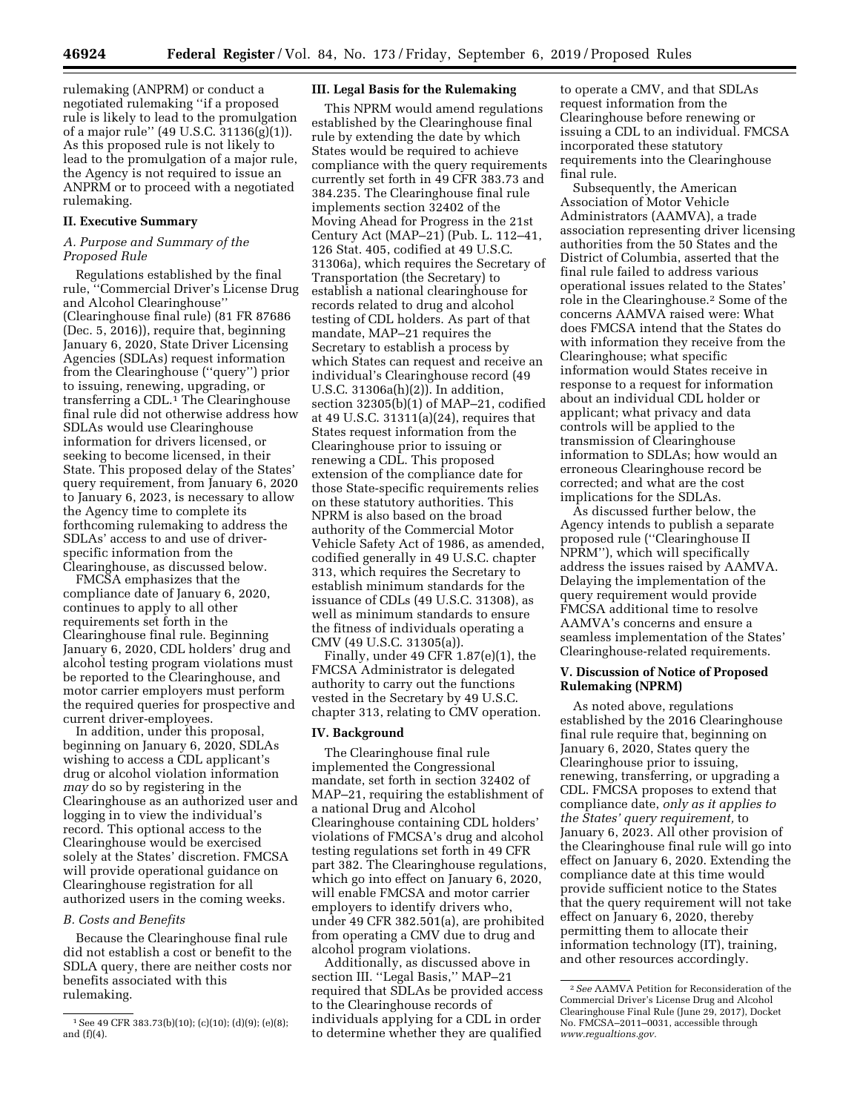rulemaking (ANPRM) or conduct a negotiated rulemaking ''if a proposed rule is likely to lead to the promulgation of a major rule'' (49 U.S.C. 31136(g)(1)). As this proposed rule is not likely to lead to the promulgation of a major rule, the Agency is not required to issue an ANPRM or to proceed with a negotiated rulemaking.

### **II. Executive Summary**

## *A. Purpose and Summary of the Proposed Rule*

Regulations established by the final rule, ''Commercial Driver's License Drug and Alcohol Clearinghouse'' (Clearinghouse final rule) (81 FR 87686 (Dec. 5, 2016)), require that, beginning January 6, 2020, State Driver Licensing Agencies (SDLAs) request information from the Clearinghouse (''query'') prior to issuing, renewing, upgrading, or transferring a CDL.<sup>1</sup> The Clearinghouse final rule did not otherwise address how SDLAs would use Clearinghouse information for drivers licensed, or seeking to become licensed, in their State. This proposed delay of the States' query requirement, from January 6, 2020 to January 6, 2023, is necessary to allow the Agency time to complete its forthcoming rulemaking to address the SDLAs' access to and use of driverspecific information from the Clearinghouse, as discussed below.

FMCSA emphasizes that the compliance date of January 6, 2020, continues to apply to all other requirements set forth in the Clearinghouse final rule. Beginning January 6, 2020, CDL holders' drug and alcohol testing program violations must be reported to the Clearinghouse, and motor carrier employers must perform the required queries for prospective and current driver-employees.

In addition, under this proposal, beginning on January 6, 2020, SDLAs wishing to access a CDL applicant's drug or alcohol violation information *may* do so by registering in the Clearinghouse as an authorized user and logging in to view the individual's record. This optional access to the Clearinghouse would be exercised solely at the States' discretion. FMCSA will provide operational guidance on Clearinghouse registration for all authorized users in the coming weeks.

#### *B. Costs and Benefits*

Because the Clearinghouse final rule did not establish a cost or benefit to the SDLA query, there are neither costs nor benefits associated with this rulemaking.

### **III. Legal Basis for the Rulemaking**

This NPRM would amend regulations established by the Clearinghouse final rule by extending the date by which States would be required to achieve compliance with the query requirements currently set forth in 49 CFR 383.73 and 384.235. The Clearinghouse final rule implements section 32402 of the Moving Ahead for Progress in the 21st Century Act (MAP–21) (Pub. L. 112–41, 126 Stat. 405, codified at 49 U.S.C. 31306a), which requires the Secretary of Transportation (the Secretary) to establish a national clearinghouse for records related to drug and alcohol testing of CDL holders. As part of that mandate, MAP–21 requires the Secretary to establish a process by which States can request and receive an individual's Clearinghouse record (49 U.S.C. 31306a(h)(2)). In addition, section 32305(b)(1) of MAP–21, codified at 49 U.S.C. 31311(a)(24), requires that States request information from the Clearinghouse prior to issuing or renewing a CDL. This proposed extension of the compliance date for those State-specific requirements relies on these statutory authorities. This NPRM is also based on the broad authority of the Commercial Motor Vehicle Safety Act of 1986, as amended, codified generally in 49 U.S.C. chapter 313, which requires the Secretary to establish minimum standards for the issuance of CDLs (49 U.S.C. 31308), as well as minimum standards to ensure the fitness of individuals operating a CMV (49 U.S.C. 31305(a)).

Finally, under 49 CFR 1.87(e)(1), the FMCSA Administrator is delegated authority to carry out the functions vested in the Secretary by 49 U.S.C. chapter 313, relating to CMV operation.

#### **IV. Background**

The Clearinghouse final rule implemented the Congressional mandate, set forth in section 32402 of MAP–21, requiring the establishment of a national Drug and Alcohol Clearinghouse containing CDL holders' violations of FMCSA's drug and alcohol testing regulations set forth in 49 CFR part 382. The Clearinghouse regulations, which go into effect on January 6, 2020, will enable FMCSA and motor carrier employers to identify drivers who, under 49 CFR 382.501(a), are prohibited from operating a CMV due to drug and alcohol program violations.

Additionally, as discussed above in section III. ''Legal Basis,'' MAP–21 required that SDLAs be provided access to the Clearinghouse records of individuals applying for a CDL in order to determine whether they are qualified

to operate a CMV, and that SDLAs request information from the Clearinghouse before renewing or issuing a CDL to an individual. FMCSA incorporated these statutory requirements into the Clearinghouse final rule.

Subsequently, the American Association of Motor Vehicle Administrators (AAMVA), a trade association representing driver licensing authorities from the 50 States and the District of Columbia, asserted that the final rule failed to address various operational issues related to the States' role in the Clearinghouse.2 Some of the concerns AAMVA raised were: What does FMCSA intend that the States do with information they receive from the Clearinghouse; what specific information would States receive in response to a request for information about an individual CDL holder or applicant; what privacy and data controls will be applied to the transmission of Clearinghouse information to SDLAs; how would an erroneous Clearinghouse record be corrected; and what are the cost implications for the SDLAs.

As discussed further below, the Agency intends to publish a separate proposed rule (''Clearinghouse II NPRM''), which will specifically address the issues raised by AAMVA. Delaying the implementation of the query requirement would provide FMCSA additional time to resolve AAMVA's concerns and ensure a seamless implementation of the States' Clearinghouse-related requirements.

### **V. Discussion of Notice of Proposed Rulemaking (NPRM)**

As noted above, regulations established by the 2016 Clearinghouse final rule require that, beginning on January 6, 2020, States query the Clearinghouse prior to issuing, renewing, transferring, or upgrading a CDL. FMCSA proposes to extend that compliance date, *only as it applies to the States' query requirement,* to January 6, 2023. All other provision of the Clearinghouse final rule will go into effect on January 6, 2020. Extending the compliance date at this time would provide sufficient notice to the States that the query requirement will not take effect on January 6, 2020, thereby permitting them to allocate their information technology (IT), training, and other resources accordingly.

<sup>1</sup>See 49 CFR 383.73(b)(10); (c)(10); (d)(9); (e)(8); and (f)(4).

<sup>2</sup>*See* AAMVA Petition for Reconsideration of the Commercial Driver's License Drug and Alcohol Clearinghouse Final Rule (June 29, 2017), Docket No. FMCSA–2011–0031, accessible through *[www.regualtions.gov.](http://www.regualtions.gov)*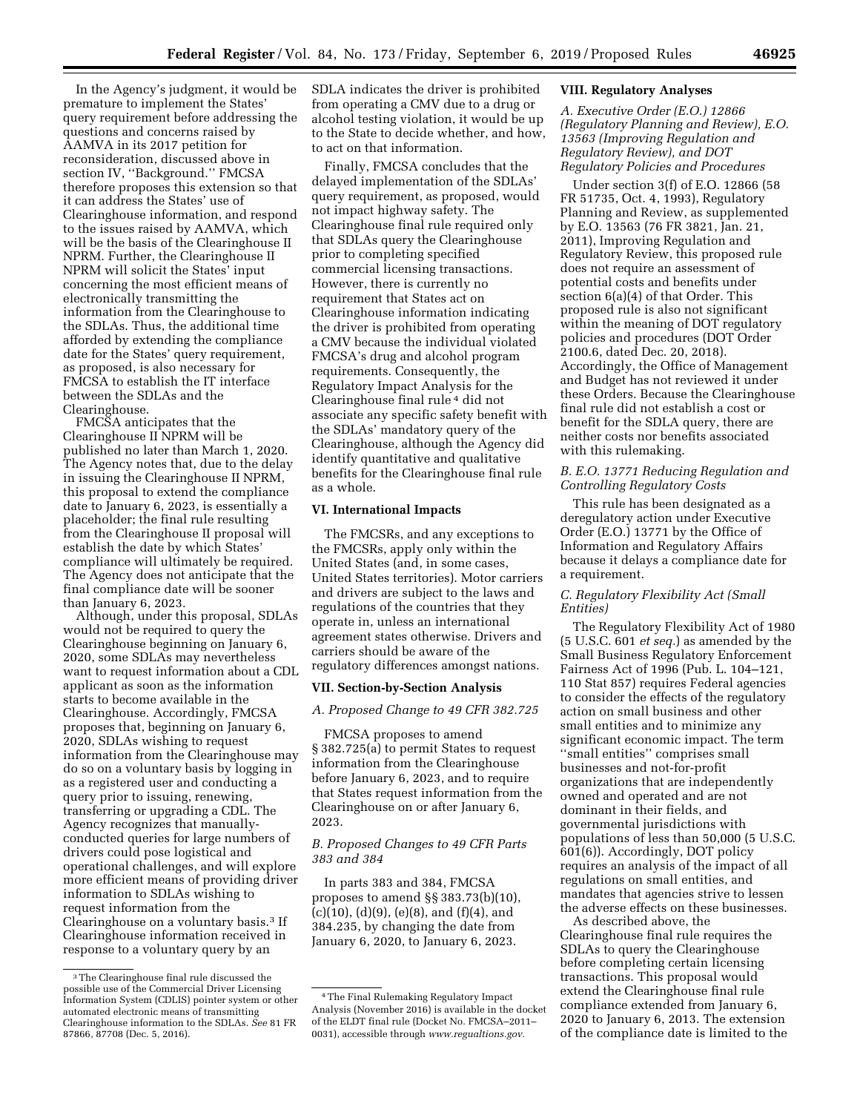In the Agency's judgment, it would be premature to implement the States' query requirement before addressing the questions and concerns raised by AAMVA in its 2017 petition for reconsideration, discussed above in section IV, ''Background.'' FMCSA therefore proposes this extension so that it can address the States' use of Clearinghouse information, and respond to the issues raised by AAMVA, which will be the basis of the Clearinghouse II NPRM. Further, the Clearinghouse II NPRM will solicit the States' input concerning the most efficient means of electronically transmitting the information from the Clearinghouse to the SDLAs. Thus, the additional time afforded by extending the compliance date for the States' query requirement, as proposed, is also necessary for FMCSA to establish the IT interface between the SDLAs and the Clearinghouse.

FMCSA anticipates that the Clearinghouse II NPRM will be published no later than March 1, 2020. The Agency notes that, due to the delay in issuing the Clearinghouse II NPRM, this proposal to extend the compliance date to January 6, 2023, is essentially a placeholder; the final rule resulting from the Clearinghouse II proposal will establish the date by which States' compliance will ultimately be required. The Agency does not anticipate that the final compliance date will be sooner than January 6, 2023.

Although, under this proposal, SDLAs would not be required to query the Clearinghouse beginning on January 6, 2020, some SDLAs may nevertheless want to request information about a CDL applicant as soon as the information starts to become available in the Clearinghouse. Accordingly, FMCSA proposes that, beginning on January 6, 2020, SDLAs wishing to request information from the Clearinghouse may do so on a voluntary basis by logging in as a registered user and conducting a query prior to issuing, renewing, transferring or upgrading a CDL. The Agency recognizes that manuallyconducted queries for large numbers of drivers could pose logistical and operational challenges, and will explore more efficient means of providing driver information to SDLAs wishing to request information from the Clearinghouse on a voluntary basis.3 If Clearinghouse information received in response to a voluntary query by an

SDLA indicates the driver is prohibited from operating a CMV due to a drug or alcohol testing violation, it would be up to the State to decide whether, and how, to act on that information.

Finally, FMCSA concludes that the delayed implementation of the SDLAs' query requirement, as proposed, would not impact highway safety. The Clearinghouse final rule required only that SDLAs query the Clearinghouse prior to completing specified commercial licensing transactions. However, there is currently no requirement that States act on Clearinghouse information indicating the driver is prohibited from operating a CMV because the individual violated FMCSA's drug and alcohol program requirements. Consequently, the Regulatory Impact Analysis for the Clearinghouse final rule 4 did not associate any specific safety benefit with the SDLAs' mandatory query of the Clearinghouse, although the Agency did identify quantitative and qualitative benefits for the Clearinghouse final rule as a whole.

# **VI. International Impacts**

The FMCSRs, and any exceptions to the FMCSRs, apply only within the United States (and, in some cases, United States territories). Motor carriers and drivers are subject to the laws and regulations of the countries that they operate in, unless an international agreement states otherwise. Drivers and carriers should be aware of the regulatory differences amongst nations.

### **VII. Section-by-Section Analysis**

## *A. Proposed Change to 49 CFR 382.725*

FMCSA proposes to amend § 382.725(a) to permit States to request information from the Clearinghouse before January 6, 2023, and to require that States request information from the Clearinghouse on or after January 6, 2023.

## *B. Proposed Changes to 49 CFR Parts 383 and 384*

In parts 383 and 384, FMCSA proposes to amend §§ 383.73(b)(10),  $(c)(10)$ ,  $(d)(9)$ ,  $(e)(8)$ , and  $(f)(4)$ , and 384.235, by changing the date from January 6, 2020, to January 6, 2023.

### **VIII. Regulatory Analyses**

*A. Executive Order (E.O.) 12866 (Regulatory Planning and Review), E.O. 13563 (Improving Regulation and Regulatory Review), and DOT Regulatory Policies and Procedures* 

Under section 3(f) of E.O. 12866 (58 FR 51735, Oct. 4, 1993), Regulatory Planning and Review, as supplemented by E.O. 13563 (76 FR 3821, Jan. 21, 2011), Improving Regulation and Regulatory Review, this proposed rule does not require an assessment of potential costs and benefits under section 6(a)(4) of that Order. This proposed rule is also not significant within the meaning of DOT regulatory policies and procedures (DOT Order 2100.6, dated Dec. 20, 2018). Accordingly, the Office of Management and Budget has not reviewed it under these Orders. Because the Clearinghouse final rule did not establish a cost or benefit for the SDLA query, there are neither costs nor benefits associated with this rulemaking.

## *B. E.O. 13771 Reducing Regulation and Controlling Regulatory Costs*

This rule has been designated as a deregulatory action under Executive Order (E.O.) 13771 by the Office of Information and Regulatory Affairs because it delays a compliance date for a requirement.

## *C. Regulatory Flexibility Act (Small Entities)*

The Regulatory Flexibility Act of 1980 (5 U.S.C. 601 *et seq.*) as amended by the Small Business Regulatory Enforcement Fairness Act of 1996 (Pub. L. 104–121, 110 Stat 857) requires Federal agencies to consider the effects of the regulatory action on small business and other small entities and to minimize any significant economic impact. The term ''small entities'' comprises small businesses and not-for-profit organizations that are independently owned and operated and are not dominant in their fields, and governmental jurisdictions with populations of less than 50,000 (5 U.S.C. 601(6)). Accordingly, DOT policy requires an analysis of the impact of all regulations on small entities, and mandates that agencies strive to lessen the adverse effects on these businesses.

As described above, the Clearinghouse final rule requires the SDLAs to query the Clearinghouse before completing certain licensing transactions. This proposal would extend the Clearinghouse final rule compliance extended from January 6, 2020 to January 6, 2013. The extension of the compliance date is limited to the

<sup>3</sup>The Clearinghouse final rule discussed the possible use of the Commercial Driver Licensing Information System (CDLIS) pointer system or other automated electronic means of transmitting Clearinghouse information to the SDLAs. *See* 81 FR 87866, 87708 (Dec. 5, 2016).

<sup>4</sup>The Final Rulemaking Regulatory Impact Analysis (November 2016) is available in the docket of the ELDT final rule (Docket No. FMCSA–2011– 0031), accessible through *[www.regualtions.gov.](http://www.regualtions.gov)*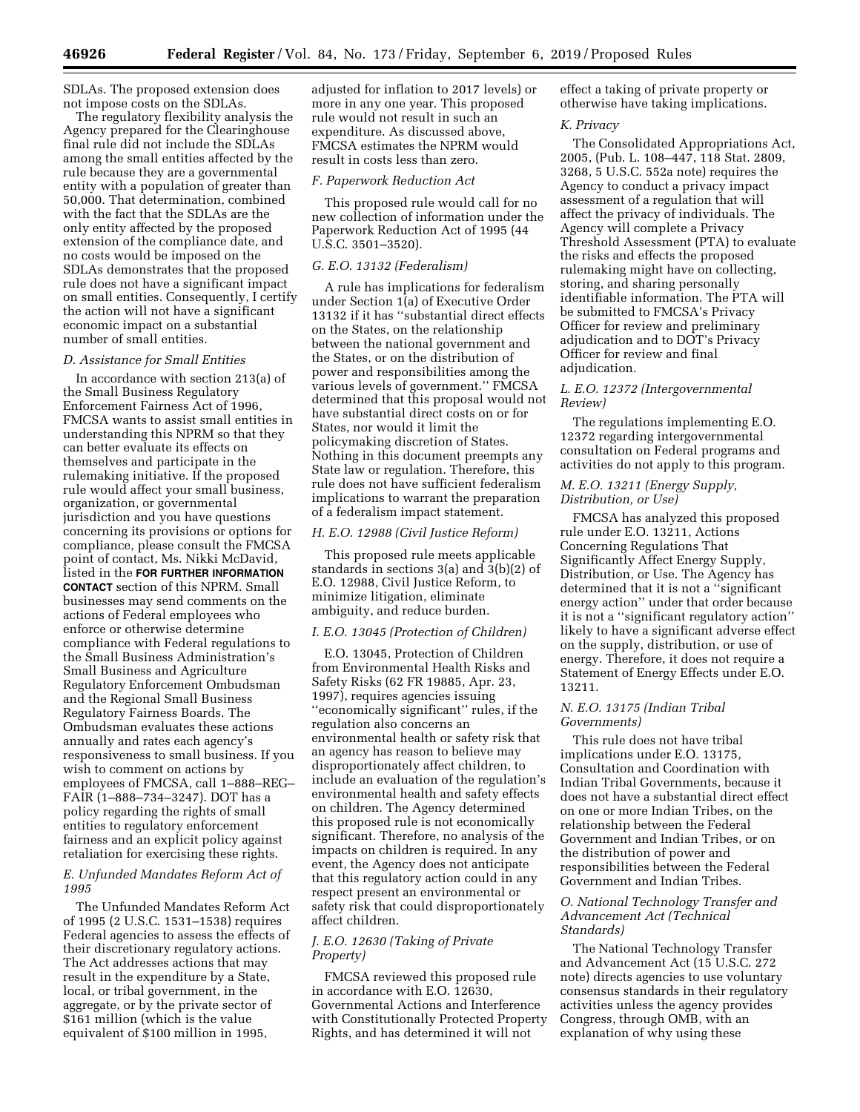SDLAs. The proposed extension does not impose costs on the SDLAs.

The regulatory flexibility analysis the Agency prepared for the Clearinghouse final rule did not include the SDLAs among the small entities affected by the rule because they are a governmental entity with a population of greater than 50,000. That determination, combined with the fact that the SDLAs are the only entity affected by the proposed extension of the compliance date, and no costs would be imposed on the SDLAs demonstrates that the proposed rule does not have a significant impact on small entities. Consequently, I certify the action will not have a significant economic impact on a substantial number of small entities.

#### *D. Assistance for Small Entities*

In accordance with section 213(a) of the Small Business Regulatory Enforcement Fairness Act of 1996, FMCSA wants to assist small entities in understanding this NPRM so that they can better evaluate its effects on themselves and participate in the rulemaking initiative. If the proposed rule would affect your small business, organization, or governmental jurisdiction and you have questions concerning its provisions or options for compliance, please consult the FMCSA point of contact, Ms. Nikki McDavid, listed in the **FOR FURTHER INFORMATION CONTACT** section of this NPRM. Small businesses may send comments on the actions of Federal employees who enforce or otherwise determine compliance with Federal regulations to the Small Business Administration's Small Business and Agriculture Regulatory Enforcement Ombudsman and the Regional Small Business Regulatory Fairness Boards. The Ombudsman evaluates these actions annually and rates each agency's responsiveness to small business. If you wish to comment on actions by employees of FMCSA, call 1–888–REG– FAIR (1–888–734–3247). DOT has a policy regarding the rights of small entities to regulatory enforcement fairness and an explicit policy against retaliation for exercising these rights.

*E. Unfunded Mandates Reform Act of 1995* 

The Unfunded Mandates Reform Act of 1995 (2 U.S.C. 1531–1538) requires Federal agencies to assess the effects of their discretionary regulatory actions. The Act addresses actions that may result in the expenditure by a State, local, or tribal government, in the aggregate, or by the private sector of \$161 million (which is the value equivalent of \$100 million in 1995,

adjusted for inflation to 2017 levels) or more in any one year. This proposed rule would not result in such an expenditure. As discussed above, FMCSA estimates the NPRM would result in costs less than zero.

#### *F. Paperwork Reduction Act*

This proposed rule would call for no new collection of information under the Paperwork Reduction Act of 1995 (44 U.S.C. 3501–3520).

### *G. E.O. 13132 (Federalism)*

A rule has implications for federalism under Section 1(a) of Executive Order 13132 if it has ''substantial direct effects on the States, on the relationship between the national government and the States, or on the distribution of power and responsibilities among the various levels of government.'' FMCSA determined that this proposal would not have substantial direct costs on or for States, nor would it limit the policymaking discretion of States. Nothing in this document preempts any State law or regulation. Therefore, this rule does not have sufficient federalism implications to warrant the preparation of a federalism impact statement.

#### *H. E.O. 12988 (Civil Justice Reform)*

This proposed rule meets applicable standards in sections 3(a) and 3(b)(2) of E.O. 12988, Civil Justice Reform, to minimize litigation, eliminate ambiguity, and reduce burden.

### *I. E.O. 13045 (Protection of Children)*

E.O. 13045, Protection of Children from Environmental Health Risks and Safety Risks (62 FR 19885, Apr. 23, 1997), requires agencies issuing ''economically significant'' rules, if the regulation also concerns an environmental health or safety risk that an agency has reason to believe may disproportionately affect children, to include an evaluation of the regulation's environmental health and safety effects on children. The Agency determined this proposed rule is not economically significant. Therefore, no analysis of the impacts on children is required. In any event, the Agency does not anticipate that this regulatory action could in any respect present an environmental or safety risk that could disproportionately affect children.

# *J. E.O. 12630 (Taking of Private Property)*

FMCSA reviewed this proposed rule in accordance with E.O. 12630, Governmental Actions and Interference with Constitutionally Protected Property Rights, and has determined it will not

effect a taking of private property or otherwise have taking implications.

#### *K. Privacy*

The Consolidated Appropriations Act, 2005, (Pub. L. 108–447, 118 Stat. 2809, 3268, 5 U.S.C. 552a note) requires the Agency to conduct a privacy impact assessment of a regulation that will affect the privacy of individuals. The Agency will complete a Privacy Threshold Assessment (PTA) to evaluate the risks and effects the proposed rulemaking might have on collecting, storing, and sharing personally identifiable information. The PTA will be submitted to FMCSA's Privacy Officer for review and preliminary adjudication and to DOT's Privacy Officer for review and final adjudication.

#### *L. E.O. 12372 (Intergovernmental Review)*

The regulations implementing E.O. 12372 regarding intergovernmental consultation on Federal programs and activities do not apply to this program.

### *M. E.O. 13211 (Energy Supply, Distribution, or Use)*

FMCSA has analyzed this proposed rule under E.O. 13211, Actions Concerning Regulations That Significantly Affect Energy Supply, Distribution, or Use. The Agency has determined that it is not a ''significant energy action'' under that order because it is not a ''significant regulatory action'' likely to have a significant adverse effect on the supply, distribution, or use of energy. Therefore, it does not require a Statement of Energy Effects under E.O. 13211.

## *N. E.O. 13175 (Indian Tribal Governments)*

This rule does not have tribal implications under E.O. 13175, Consultation and Coordination with Indian Tribal Governments, because it does not have a substantial direct effect on one or more Indian Tribes, on the relationship between the Federal Government and Indian Tribes, or on the distribution of power and responsibilities between the Federal Government and Indian Tribes.

#### *O. National Technology Transfer and Advancement Act (Technical Standards)*

The National Technology Transfer and Advancement Act (15 U.S.C. 272 note) directs agencies to use voluntary consensus standards in their regulatory activities unless the agency provides Congress, through OMB, with an explanation of why using these